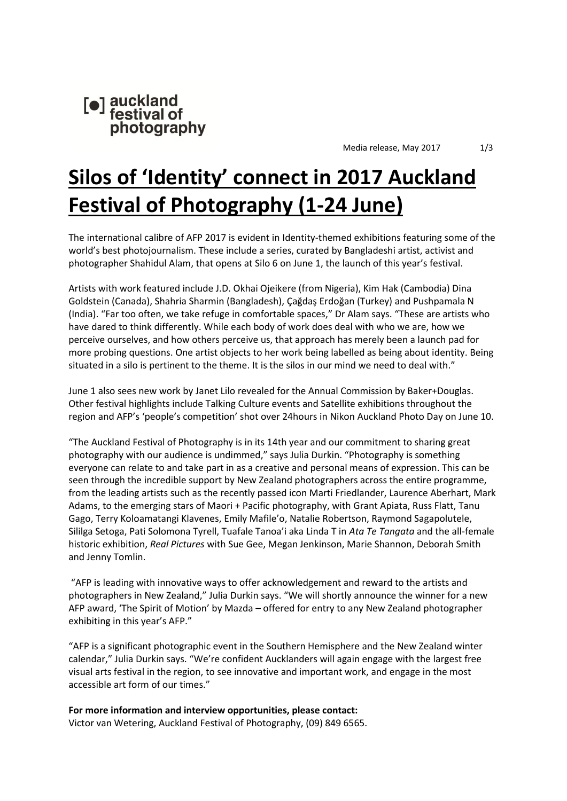

Media release, May 2017 1/3

# **Silos of 'Identity' connect in 2017 Auckland Festival of Photography (1-24 June)**

The international calibre of AFP 2017 is evident in Identity-themed exhibitions featuring some of the world's best photojournalism. These include a series, curated by Bangladeshi artist, activist and photographer Shahidul Alam, that opens at Silo 6 on June 1, the launch of this year's festival.

Artists with work featured include J.D. Okhai Ojeikere (from Nigeria), Kim Hak (Cambodia) Dina Goldstein (Canada), Shahria Sharmin (Bangladesh), Çağdaş Erdoğan (Turkey) and Pushpamala N (India). "Far too often, we take refuge in comfortable spaces," Dr Alam says. "These are artists who have dared to think differently. While each body of work does deal with who we are, how we perceive ourselves, and how others perceive us, that approach has merely been a launch pad for more probing questions. One artist objects to her work being labelled as being about identity. Being situated in a silo is pertinent to the theme. It is the silos in our mind we need to deal with."

June 1 also sees new work by Janet Lilo revealed for the Annual Commission by Baker+Douglas. Other festival highlights include Talking Culture events and Satellite exhibitions throughout the region and AFP's 'people's competition' shot over 24hours in Nikon Auckland Photo Day on June 10.

"The Auckland Festival of Photography is in its 14th year and our commitment to sharing great photography with our audience is undimmed," says Julia Durkin. "Photography is something everyone can relate to and take part in as a creative and personal means of expression. This can be seen through the incredible support by New Zealand photographers across the entire programme, from the leading artists such as the recently passed icon Marti Friedlander, Laurence Aberhart, Mark Adams, to the emerging stars of Maori + Pacific photography, with Grant Apiata, Russ Flatt, Tanu Gago, Terry Koloamatangi Klavenes, Emily Mafile'o, Natalie Robertson, Raymond Sagapolutele, Sililga Setoga, Pati Solomona Tyrell, Tuafale Tanoa'i aka Linda T in *Ata Te Tangata* and the all-female historic exhibition, *Real Pictures* with Sue Gee, Megan Jenkinson, Marie Shannon, Deborah Smith and Jenny Tomlin.

"AFP is leading with innovative ways to offer acknowledgement and reward to the artists and photographers in New Zealand," Julia Durkin says. "We will shortly announce the winner for a new AFP award, 'The Spirit of Motion' by Mazda – offered for entry to any New Zealand photographer exhibiting in this year's AFP."

"AFP is a significant photographic event in the Southern Hemisphere and the New Zealand winter calendar," Julia Durkin says. "We're confident Aucklanders will again engage with the largest free visual arts festival in the region, to see innovative and important work, and engage in the most accessible art form of our times."

**For more information and interview opportunities, please contact:** Victor van Wetering, Auckland Festival of Photography, (09) 849 6565.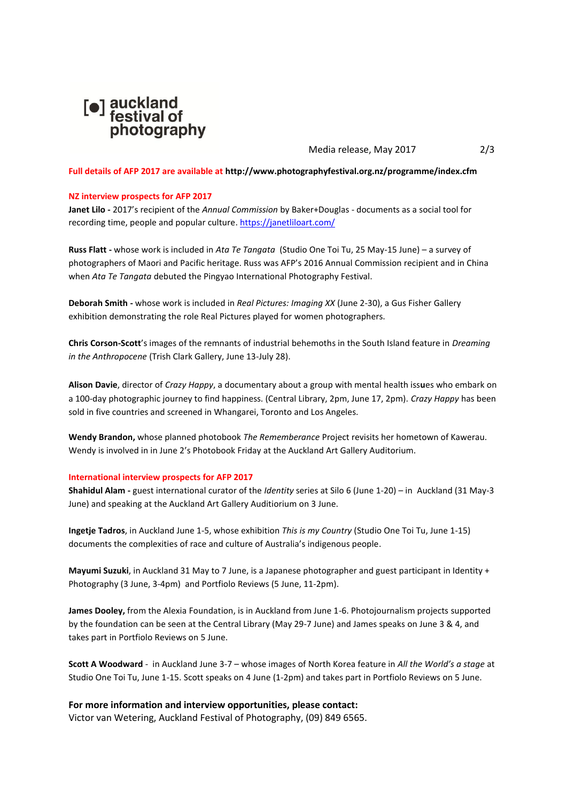

Media release, May 2017 2/3

#### **Full details of AFP 2017 are available a[t http://www.photographyfestival.org.nz/programme/index.cfm](http://www.photographyfestival.org.nz/programme/index.cfm)**

#### **NZ interview prospects for AFP 2017**

**Janet Lilo -** 2017's recipient of the *Annual Commission* by Baker+Douglas - documents as a social tool for recording time, people and popular culture.<https://janetliloart.com/>

**Russ Flatt -** whose work is included in *Ata Te Tangata* (Studio One Toi Tu, 25 May-15 June) – a survey of photographers of Maori and Pacific heritage. Russ was AFP's 2016 Annual Commission recipient and in China when *Ata Te Tangata* debuted the Pingyao International Photography Festival.

**Deborah Smith -** whose work is included in *Real Pictures: Imaging XX* (June 2-30), a Gus Fisher Gallery exhibition demonstrating the role Real Pictures played for women photographers.

**Chris Corson-Scott**'s images of the remnants of industrial behemoths in the South Island feature in *Dreaming in the Anthropocene* (Trish Clark Gallery, June 13-July 28).

**Alison Davie**, director of *Crazy Happy*, a documentary about a group with mental health iss**u**es who embark on a 100-day photographic journey to find happiness. (Central Library, 2pm, June 17, 2pm). *Crazy Happy* has been sold in five countries and screened in Whangarei, Toronto and Los Angeles.

**Wendy Brandon,** whose planned photobook *The Rememberance* Project revisits her hometown of Kawerau. Wendy is involved in in June 2's Photobook Friday at the Auckland Art Gallery Auditorium.

#### **International interview prospects for AFP 2017**

**Shahidul Alam -** guest international curator of the *Identity* series at Silo 6 (June 1-20) – in Auckland (31 May-3 June) and speaking at the Auckland Art Gallery Auditiorium on 3 June.

**Ingetje Tadros**, in Auckland June 1-5, whose exhibition *This is my Country* (Studio One Toi Tu, June 1-15) documents the complexities of race and culture of Australia's indigenous people.

**Mayumi Suzuki**, in Auckland 31 May to 7 June, is a Japanese photographer and guest participant in Identity + Photography (3 June, 3-4pm) and Portfiolo Reviews (5 June, 11-2pm).

**James Dooley,** from the Alexia Foundation, is in Auckland from June 1-6. Photojournalism projects supported by the foundation can be seen at the Central Library (May 29-7 June) and James speaks on June 3 & 4, and takes part in Portfiolo Reviews on 5 June.

**Scott A Woodward** - in Auckland June 3-7 – whose images of North Korea feature in *All the World's a stage* at Studio One Toi Tu, June 1-15. Scott speaks on 4 June (1-2pm) and takes part in Portfiolo Reviews on 5 June.

## **For more information and interview opportunities, please contact:**

Victor van Wetering, Auckland Festival of Photography, (09) 849 6565.